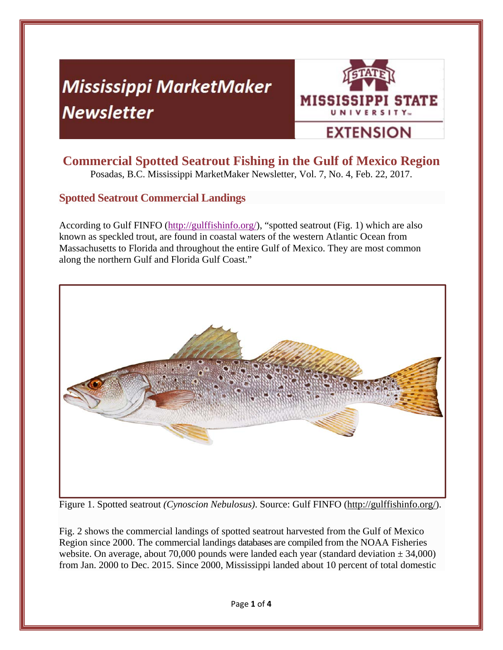# **Mississippi MarketMaker Newsletter**



## **Commercial Spotted Seatrout Fishing in the Gulf of Mexico Region**  Posadas, B.C. Mississippi MarketMaker Newsletter, Vol. 7, No. 4, Feb. 22, 2017.

# **Spotted Seatrout Commercial Landings**

According to Gulf FINFO (http://gulffishinfo.org/), "spotted seatrout (Fig. 1) which are also known as speckled trout, are found in coastal waters of the western Atlantic Ocean from Massachusetts to Florida and throughout the entire Gulf of Mexico. They are most common along the northern Gulf and Florida Gulf Coast."



Figure 1. Spotted seatrout *(Cynoscion Nebulosus)*. Source: Gulf FINFO (http://gulffishinfo.org/).

Fig. 2 shows the commercial landings of spotted seatrout harvested from the Gulf of Mexico Region since 2000. The commercial landings databases are compiled from the NOAA Fisheries website. On average, about 70,000 pounds were landed each year (standard deviation  $\pm$  34,000) from Jan. 2000 to Dec. 2015. Since 2000, Mississippi landed about 10 percent of total domestic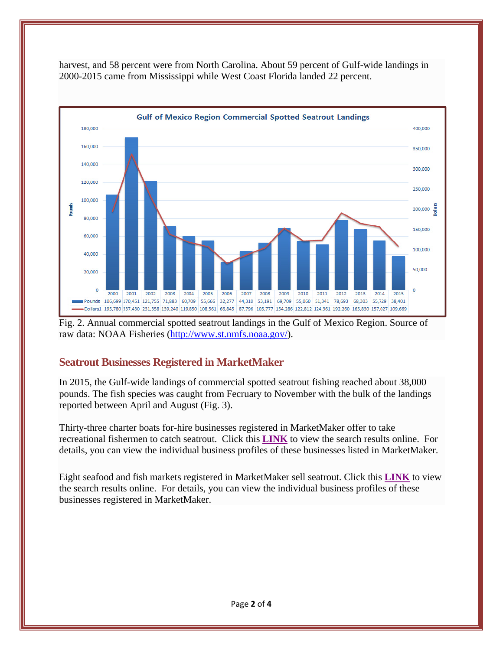

harvest, and 58 percent were from North Carolina. About 59 percent of Gulf-wide landings in 2000-2015 came from Mississippi while West Coast Florida landed 22 percent.

Fig. 2. Annual commercial spotted seatrout landings in the Gulf of Mexico Region. Source of raw data: NOAA Fisheries (http://www.st.nmfs.noaa.gov/).

# **Seatrout Businesses Registered in MarketMaker**

In 2015, the Gulf-wide landings of commercial spotted seatrout fishing reached about 38,000 pounds. The fish species was caught from Fecruary to November with the bulk of the landings reported between April and August (Fig. 3).

Thirty-three charter boats for-hire businesses registered in MarketMaker offer to take recreational fishermen to catch seatrout. Click this **LINK** to view the search results online. For details, you can view the individual business profiles of these businesses listed in MarketMaker.

Eight seafood and fish markets registered in MarketMaker sell seatrout. Click this **LINK** to view the search results online. For details, you can view the individual business profiles of these businesses registered in MarketMaker.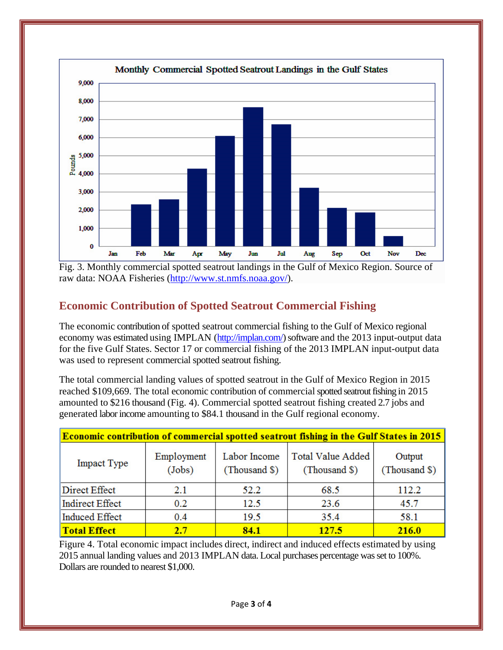

Fig. 3. Monthly commercial spotted seatrout landings in the Gulf of Mexico Region. Source of raw data: NOAA Fisheries (http://www.st.nmfs.noaa.gov/).

# **Economic Contribution of Spotted Seatrout Commercial Fishing**

The economic contribution of spotted seatrout commercial fishing to the Gulf of Mexico regional economy was estimated using IMPLAN (http://implan.com/) software and the 2013 input-output data for the five Gulf States. Sector 17 or commercial fishing of the 2013 IMPLAN input-output data was used to represent commercial spotted seatrout fishing.

The total commercial landing values of spotted seatrout in the Gulf of Mexico Region in 2015 reached \$109,669. The total economic contribution of commercial spotted seatrout fishing in 2015 amounted to \$216 thousand (Fig. 4). Commercial spotted seatrout fishing created 2.7 jobs and generated labor income amounting to \$84.1 thousand in the Gulf regional economy.

| <b>Economic contribution of commercial spotted seatrout fishing in the Gulf States in 2015</b> |                      |                               |                                           |                         |
|------------------------------------------------------------------------------------------------|----------------------|-------------------------------|-------------------------------------------|-------------------------|
| <b>Impact Type</b>                                                                             | Employment<br>(Jobs) | Labor Income<br>(Thousand \$) | <b>Total Value Added</b><br>(Thousand \$) | Output<br>(Thousand \$) |
| Direct Effect                                                                                  | 2.1                  | 52.2                          | 68.5                                      | 112.2                   |
| <b>Indirect Effect</b>                                                                         | 0.2                  | 12.5                          | 23.6                                      | 45.7                    |
| <b>Induced Effect</b>                                                                          | 0.4                  | 19.5                          | 35.4                                      | 58.1                    |
| <b>Total Effect</b>                                                                            | 2.7                  | 84.1                          | 127.5                                     | 216.0                   |

Figure 4. Total economic impact includes direct, indirect and induced effects estimated by using 2015 annual landing values and 2013 IMPLAN data. Local purchases percentage was set to 100%. Dollars are rounded to nearest \$1,000.